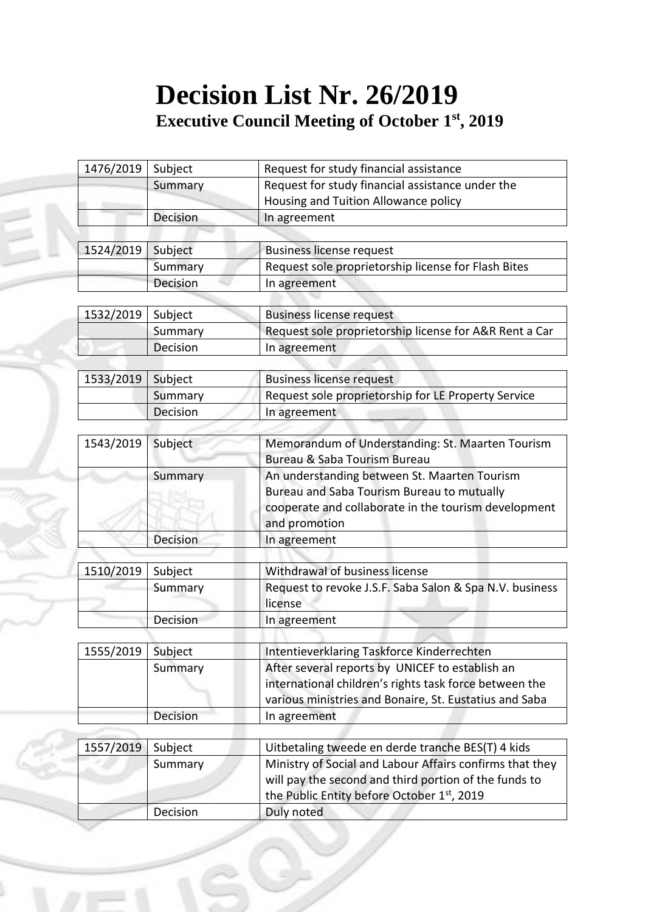## **Decision List Nr. 26/2019 Executive Council Meeting of October 1 st, 2019**

| 1476/2019 | Subject  | Request for study financial assistance                   |
|-----------|----------|----------------------------------------------------------|
|           | Summary  | Request for study financial assistance under the         |
|           |          | Housing and Tuition Allowance policy                     |
|           | Decision | In agreement                                             |
|           |          |                                                          |
| 1524/2019 | Subject  | <b>Business license request</b>                          |
|           | Summary  | Request sole proprietorship license for Flash Bites      |
|           | Decision | In agreement                                             |
|           |          |                                                          |
| 1532/2019 | Subject  | <b>Business license request</b>                          |
|           | Summary  | Request sole proprietorship license for A&R Rent a Car   |
|           | Decision | In agreement                                             |
|           |          |                                                          |
| 1533/2019 | Subject  | <b>Business license request</b>                          |
|           | Summary  | Request sole proprietorship for LE Property Service      |
|           | Decision | In agreement                                             |
|           |          |                                                          |
| 1543/2019 | Subject  | Memorandum of Understanding: St. Maarten Tourism         |
|           |          | Bureau & Saba Tourism Bureau                             |
|           | Summary  | An understanding between St. Maarten Tourism             |
|           |          | Bureau and Saba Tourism Bureau to mutually               |
|           |          | cooperate and collaborate in the tourism development     |
|           |          | and promotion                                            |
|           | Decision | In agreement                                             |
| 1510/2019 | Subject  | Withdrawal of business license                           |
|           | Summary  | Request to revoke J.S.F. Saba Salon & Spa N.V. business  |
|           |          | license                                                  |
|           | Decision | In agreement                                             |
|           |          |                                                          |
| 1555/2019 | Subject  | Intentieverklaring Taskforce Kinderrechten               |
|           | Summary  | After several reports by UNICEF to establish an          |
|           |          | international children's rights task force between the   |
|           |          | various ministries and Bonaire, St. Eustatius and Saba   |
|           | Decision | In agreement                                             |
|           |          |                                                          |
| 1557/2019 | Subject  | Uitbetaling tweede en derde tranche BES(T) 4 kids        |
|           | Summary  | Ministry of Social and Labour Affairs confirms that they |
|           |          | will pay the second and third portion of the funds to    |
|           |          | the Public Entity before October 1st, 2019               |
|           | Decision | Duly noted                                               |
|           |          |                                                          |